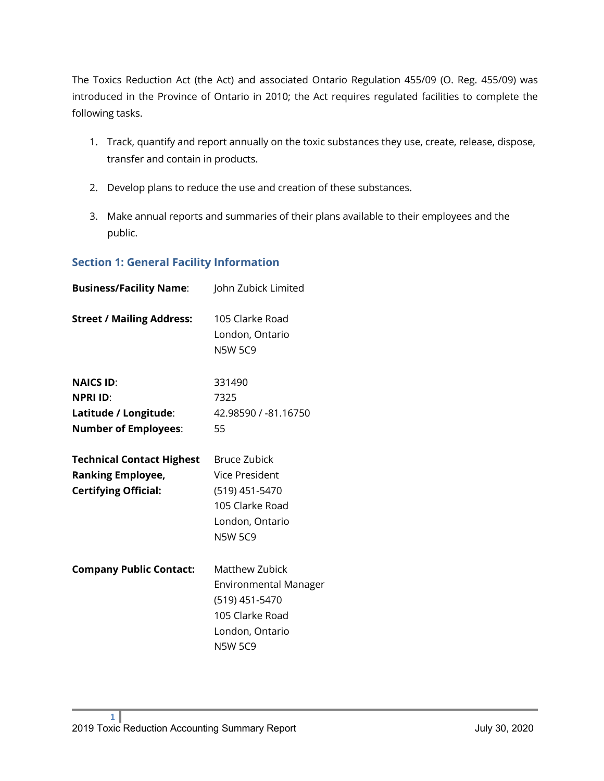The Toxics Reduction Act (the Act) and associated Ontario Regulation 455/09 (O. Reg. 455/09) was introduced in the Province of Ontario in 2010; the Act requires regulated facilities to complete the following tasks.

- 1. Track, quantify and report annually on the toxic substances they use, create, release, dispose, transfer and contain in products.
- 2. Develop plans to reduce the use and creation of these substances.
- 3. Make annual reports and summaries of their plans available to their employees and the public.

#### **Section 1: General Facility Information**

| <b>Business/Facility Name:</b>                                                              | John Zubick Limited                                                                                                      |
|---------------------------------------------------------------------------------------------|--------------------------------------------------------------------------------------------------------------------------|
| <b>Street / Mailing Address:</b>                                                            | 105 Clarke Road<br>London, Ontario<br><b>N5W 5C9</b>                                                                     |
| <b>NAICS ID:</b><br><b>NPRI ID:</b><br>Latitude / Longitude:<br><b>Number of Employees:</b> | 331490<br>7325<br>42.98590 / -81.16750<br>55                                                                             |
| <b>Technical Contact Highest</b><br><b>Ranking Employee,</b><br><b>Certifying Official:</b> | <b>Bruce Zubick</b><br><b>Vice President</b><br>(519) 451-5470<br>105 Clarke Road<br>London, Ontario<br><b>N5W 5C9</b>   |
| <b>Company Public Contact:</b>                                                              | Matthew Zubick<br><b>Environmental Manager</b><br>(519) 451-5470<br>105 Clarke Road<br>London, Ontario<br><b>N5W 5C9</b> |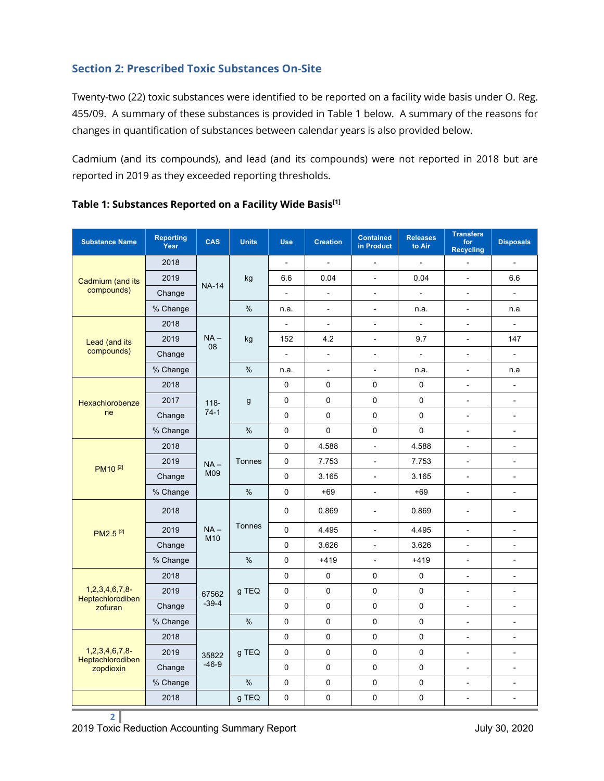### **Section 2: Prescribed Toxic Substances On-Site**

Twenty-two (22) toxic substances were identified to be reported on a facility wide basis under O. Reg. 455/09. A summary of these substances is provided in Table 1 below. A summary of the reasons for changes in quantification of substances between calendar years is also provided below.

Cadmium (and its compounds), and lead (and its compounds) were not reported in 2018 but are reported in 2019 as they exceeded reporting thresholds.

| <b>Substance Name</b>                 | <b>Reporting</b><br>Year | CAS            | <b>Units</b>  | <b>Use</b>               | <b>Creation</b> | <b>Contained</b><br>in Product | Releases<br>to Air       | <b>Transfers</b><br>for<br><b>Recycling</b> | <b>Disposals</b>             |
|---------------------------------------|--------------------------|----------------|---------------|--------------------------|-----------------|--------------------------------|--------------------------|---------------------------------------------|------------------------------|
|                                       | 2018                     | <b>NA-14</b>   | kg            | $\overline{a}$           | $\overline{a}$  | $\overline{a}$                 | $\overline{a}$           |                                             | $\overline{a}$               |
| Cadmium (and its                      | 2019                     |                |               | 6.6                      | 0.04            | $\frac{1}{2}$                  | 0.04                     | $\overline{a}$                              | 6.6                          |
| compounds)                            | Change                   |                |               | $\overline{\phantom{a}}$ | $\frac{1}{2}$   | $\qquad \qquad -$              | $\overline{\phantom{a}}$ | $\overline{\phantom{a}}$                    | $\overline{\phantom{a}}$     |
|                                       | % Change                 |                | $\%$          | n.a.                     | $\overline{a}$  | $\overline{\phantom{a}}$       | n.a.                     | ÷,                                          | n.a                          |
|                                       | 2018                     |                |               | $\overline{a}$           | $\overline{a}$  | $\overline{a}$                 | $\overline{a}$           | $\overline{a}$                              | ÷,                           |
| Lead (and its                         | 2019                     | $NA -$<br>08   | kg            | 152                      | 4.2             | $\overline{\phantom{a}}$       | 9.7                      | $\overline{\phantom{a}}$                    | 147                          |
| compounds)                            | Change                   |                |               | $\blacksquare$           | $\frac{1}{2}$   | $\overline{\phantom{0}}$       | $\overline{\phantom{0}}$ | $\frac{1}{2}$                               | $\blacksquare$               |
|                                       | % Change                 |                | $\%$          | n.a.                     | $\overline{a}$  | $\blacksquare$                 | n.a.                     | $\overline{\phantom{a}}$                    | n.a                          |
|                                       | 2018                     |                |               | $\mathbf 0$              | $\mathbf 0$     | $\mathbf 0$                    | 0                        | $\blacksquare$                              | $\overline{\phantom{a}}$     |
| Hexachlorobenze                       | 2017                     | $118 -$        | g             | $\pmb{0}$                | $\mathbf 0$     | $\pmb{0}$                      | 0                        | $\overline{\phantom{a}}$                    | $\overline{a}$               |
| ne                                    | Change                   | $74-1$         |               | 0                        | $\mathbf 0$     | $\pmb{0}$                      | 0                        | $\overline{\phantom{a}}$                    | $\overline{\phantom{a}}$     |
|                                       | % Change                 |                | $\frac{1}{2}$ | $\mathbf 0$              | $\mathbf{0}$    | $\mathbf 0$                    | 0                        | $\blacksquare$                              | $\blacksquare$               |
|                                       | 2018                     |                | Tonnes        | $\mathbf 0$              | 4.588           | $\frac{1}{2}$                  | 4.588                    | $\overline{\phantom{a}}$                    | $\frac{1}{2}$                |
| PM10 <sup>[2]</sup>                   | 2019                     | $NA -$<br>M09  |               | $\mathbf 0$              | 7.753           | $\overline{\phantom{a}}$       | 7.753                    | $\blacksquare$                              | $\blacksquare$               |
|                                       | Change                   |                |               | $\pmb{0}$                | 3.165           | $\blacksquare$                 | 3.165                    | $\frac{1}{2}$                               | $\frac{1}{2}$                |
|                                       | % Change                 |                | %             | $\pmb{0}$                | $+69$           | $\overline{\phantom{a}}$       | $+69$                    | $\overline{\phantom{a}}$                    | ÷,                           |
|                                       | 2018                     |                |               | 0                        | 0.869           | L,                             | 0.869                    | ä,                                          | ä,                           |
| PM2.5 <sup>[2]</sup>                  | 2019                     | $NA -$         | Tonnes        | $\pmb{0}$                | 4.495           | $\overline{\phantom{a}}$       | 4.495                    | $\blacksquare$                              | ÷,                           |
|                                       | Change                   | M10            |               | $\mathbf 0$              | 3.626           | $\overline{\phantom{a}}$       | 3.626                    | $\overline{\phantom{a}}$                    | $\qquad \qquad \blacksquare$ |
|                                       | % Change                 |                | $\%$          | $\mathbf 0$              | $+419$          | $\overline{a}$                 | $+419$                   | ÷,                                          | ÷,                           |
|                                       | 2018                     |                |               | $\mathbf 0$              | $\mathbf 0$     | $\mathbf 0$                    | $\mathbf 0$              | $\overline{\phantom{a}}$                    | $\overline{\phantom{a}}$     |
| $1,2,3,4,6,7,8$ -<br>Heptachlorodiben | 2019                     | 67562          | g TEQ         | 0                        | $\mathbf 0$     | $\pmb{0}$                      | 0                        | $\overline{a}$                              | $\overline{a}$               |
| zofuran                               | Change                   | $-39-4$        |               | $\pmb{0}$                | 0               | 0                              | $\mathsf 0$              | $\overline{\phantom{a}}$                    | ä,                           |
|                                       | % Change                 |                | $\%$          | $\mathbf 0$              | $\mathbf 0$     | 0                              | 0                        | $\blacksquare$                              | $\blacksquare$               |
|                                       | 2018                     |                |               | $\mathbf 0$              | $\Omega$        | $\mathbf 0$                    | 0                        | $\overline{\phantom{a}}$                    | $\frac{1}{2}$                |
| $1,2,3,4,6,7,8$ -                     | 2019                     | g TEQ<br>35822 | 0             | $\mathbf 0$              | 0               | 0                              | $\blacksquare$           | ÷,                                          |                              |
| Heptachlorodiben<br>zopdioxin         | Change                   | $-46-9$        | $\frac{1}{2}$ | $\mathbf 0$              | $\pmb{0}$       | $\pmb{0}$                      | 0                        | $\overline{\phantom{a}}$                    | $\overline{\phantom{a}}$     |
|                                       | % Change                 |                |               | $\pmb{0}$                | $\pmb{0}$       | $\pmb{0}$                      | $\pmb{0}$                | $\overline{a}$                              | $\overline{a}$               |
|                                       | 2018                     |                | g TEQ         | $\mathbf 0$              | $\mathbf 0$     | 0                              | 0                        | $\overline{\phantom{a}}$                    | $\overline{\phantom{a}}$     |

### **Table 1: Substances Reported on a Facility Wide Basis[1]**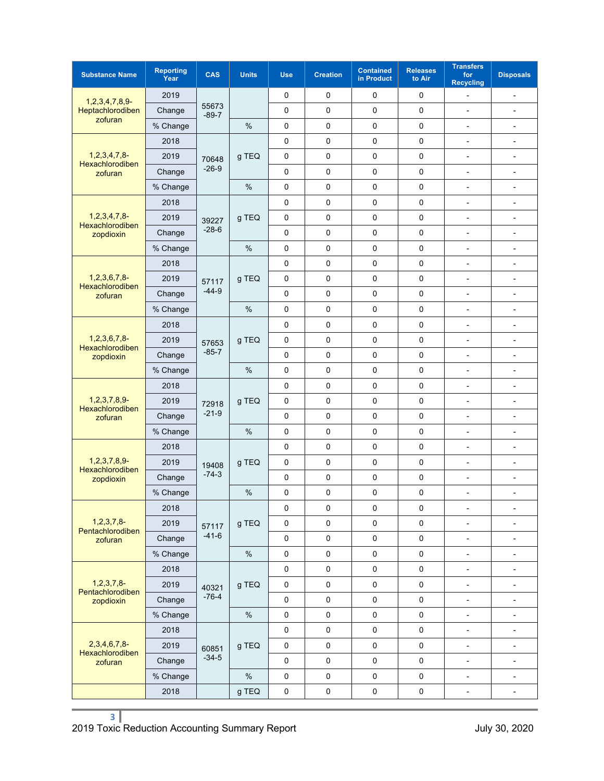| <b>Substance Name</b>                                 | <b>Reporting</b><br>Year | CAS              | <b>Units</b> | <b>Use</b>  | <b>Creation</b> | <b>Contained</b><br>in Product | <b>Releases</b><br>to Air | <b>Transfers</b><br>for<br><b>Recycling</b> | <b>Disposals</b>         |
|-------------------------------------------------------|--------------------------|------------------|--------------|-------------|-----------------|--------------------------------|---------------------------|---------------------------------------------|--------------------------|
| $1,2,3,4,7,8,9$ -                                     | 2019                     | 55673<br>$-89-7$ |              | 0           | 0               | 0                              | 0                         | $\overline{a}$                              | -                        |
| Heptachlorodiben                                      | Change                   |                  |              | 0           | 0               | $\mathbf 0$                    | 0                         | $\overline{a}$                              | $\overline{\phantom{0}}$ |
| zofuran                                               | % Change                 |                  | $\%$         | 0           | 0               | 0                              | 0                         | L,                                          | $\frac{1}{2}$            |
|                                                       | 2018                     |                  |              | 0           | 0               | 0                              | 0                         | $\overline{\phantom{0}}$                    | -                        |
| $1, 2, 3, 4, 7, 8$ -<br>Hexachlorodiben               | 2019                     | 70648            | g TEQ        | 0           | 0               | 0                              | 0                         | $\overline{\phantom{0}}$                    | -                        |
| zofuran                                               | Change                   | $-26-9$          |              | 0           | 0               | 0                              | 0                         | L,                                          | $\overline{a}$           |
|                                                       | % Change                 |                  | $\%$         | 0           | 0               | 0                              | 0                         | $\frac{1}{2}$                               | $\overline{\phantom{a}}$ |
|                                                       | 2018                     |                  |              | 0           | 0               | 0                              | 0                         | $\overline{a}$                              | $\overline{\phantom{a}}$ |
| $1,2,3,4,7,8$ -<br>Hexachlorodiben                    | 2019                     | 39227            | g TEQ        | 0           | $\mathbf 0$     | $\mathbf 0$                    | 0                         | L,                                          | $\overline{a}$           |
| zopdioxin                                             | Change                   | $-28-6$          |              | 0           | 0               | 0                              | 0                         | $\overline{a}$                              | $\overline{\phantom{a}}$ |
|                                                       | % Change                 |                  | %            | 0           | 0               | 0                              | 0                         | $\overline{a}$                              | ä,                       |
|                                                       | 2018                     |                  |              | 0           | 0               | 0                              | 0                         | $\overline{a}$                              | $\overline{a}$           |
| $1,2,3,6,7,8-$<br>Hexachlorodiben                     | 2019                     | 57117            | g TEQ        | 0           | 0               | 0                              | 0                         | $\overline{a}$                              | $\overline{\phantom{0}}$ |
| zofuran                                               | Change                   | $-44-9$          |              | 0           | 0               | $\mathbf 0$                    | 0                         | $\overline{\phantom{a}}$                    | $\overline{\phantom{0}}$ |
|                                                       | % Change                 |                  | $\%$         | 0           | 0               | $\mathsf 0$                    | 0                         | L,                                          | $\blacksquare$           |
|                                                       | 2018                     |                  | g TEQ        | 0           | 0               | 0                              | 0                         | $\overline{a}$                              | $\overline{a}$           |
| $1,2,3,6,7,8$ -                                       | 2019                     | 57653            |              | 0           | 0               | 0                              | 0                         | $\overline{\phantom{0}}$                    | -                        |
| Hexachlorodiben<br>zopdioxin                          | Change                   | $-85-7$          |              | 0           | 0               | 0                              | 0                         | L,                                          | $\overline{a}$           |
|                                                       | % Change                 |                  | $\%$         | 0           | 0               | 0                              | 0                         | $\overline{\phantom{a}}$                    | $\overline{a}$           |
|                                                       | 2018                     |                  |              | $\mathbf 0$ | 0               | 0                              | 0                         | $\overline{a}$                              | $\overline{\phantom{0}}$ |
| $1, 2, 3, 7, 8, 9$ -<br>Hexachlorodiben               | 2019                     | 72918            | g TEQ        | $\mathbf 0$ | 0               | $\mathsf 0$                    | $\mathbf 0$               | $\overline{a}$                              | $\frac{1}{2}$            |
| zofuran                                               | Change                   | $-21-9$          |              | 0           | 0               | 0                              | 0                         | Ĭ.                                          | $\overline{\phantom{a}}$ |
|                                                       | % Change                 |                  | %            | 0           | 0               | 0                              | 0                         | $\overline{a}$                              | ä,                       |
|                                                       | 2018                     | 19408<br>$-74-3$ |              | 0           | 0               | 0                              | 0                         | Ĭ.                                          | $\frac{1}{2}$            |
| $1,2,3,7,8,9-$<br><b>Hexachlorodiben</b><br>zopdioxin | 2019                     |                  | g TEQ        | 0           | 0               | 0                              | 0                         | $\overline{a}$                              | $\overline{\phantom{a}}$ |
|                                                       | Change                   |                  |              | 0           | 0               | $\mathsf 0$                    | 0                         | $\overline{\phantom{a}}$                    | $\overline{\phantom{a}}$ |
|                                                       | % Change                 |                  | $\%$         | 0           | 0               | $\mathsf 0$                    | 0                         | Ĭ.                                          | $\blacksquare$           |
|                                                       | 2018                     |                  |              | 0           | 0               | $\mathsf 0$                    | 0                         | $\overline{a}$                              | $\overline{a}$           |
| 1, 2, 3, 7, 8<br>Pentachlorodiben                     | 2019                     | 57117            | g TEQ        | 0           | 0               | 0                              | 0                         | $\overline{\phantom{0}}$                    | $\overline{\phantom{0}}$ |
| zofuran                                               | Change                   | $-41-6$          |              | $\pmb{0}$   | 0               | $\pmb{0}$                      | $\pmb{0}$                 | $\overline{\phantom{0}}$                    | -                        |
|                                                       | % Change                 |                  | $\%$         | 0           | $\pmb{0}$       | $\pmb{0}$                      | $\pmb{0}$                 | $\overline{\phantom{m}}$                    | $\overline{\phantom{a}}$ |
|                                                       | 2018                     |                  |              | 0           | 0               | $\pmb{0}$                      | $\pmb{0}$                 | $\overline{\phantom{0}}$                    | $\overline{\phantom{a}}$ |
| $1, 2, 3, 7, 8-$<br>Pentachlorodiben<br>zopdioxin     | 2019                     | 40321            | g TEQ        | $\pmb{0}$   | $\pmb{0}$       | $\pmb{0}$                      | $\pmb{0}$                 | $\qquad \qquad \blacksquare$                | $\overline{\phantom{a}}$ |
|                                                       | Change                   | $-76-4$          |              | 0           | $\pmb{0}$       | $\mathbf 0$                    | $\pmb{0}$                 | 4                                           | $\overline{\phantom{a}}$ |
|                                                       | % Change                 |                  | $\%$         | 0           | 0               | $\mathsf 0$                    | $\mathbf 0$               | $\overline{\phantom{0}}$                    | -                        |
| $2,3,4,6,7,8$ -<br>Hexachlorodiben<br>zofuran         | 2018                     | 60851<br>$-34-5$ | g TEQ        | 0           | 0               | $\pmb{0}$                      | $\pmb{0}$                 | $\frac{1}{2}$                               | $\blacksquare$           |
|                                                       | 2019                     |                  |              | $\mathbf 0$ | 0               | $\pmb{0}$                      | $\pmb{0}$                 | $\overline{\phantom{0}}$                    | $\overline{\phantom{a}}$ |
|                                                       | Change                   |                  |              | $\pmb{0}$   | $\pmb{0}$       | $\pmb{0}$                      | $\mathbf 0$               | $\overline{\phantom{m}}$                    | $\overline{\phantom{a}}$ |
|                                                       | % Change                 |                  | $\%$         | 0           | $\pmb{0}$       | $\pmb{0}$                      | 0                         | $\qquad \qquad \blacksquare$                | $\overline{\phantom{a}}$ |
|                                                       | 2018                     |                  | g TEQ        | $\pmb{0}$   | 0               | $\pmb{0}$                      | $\pmb{0}$                 | $\overline{\phantom{0}}$                    | -                        |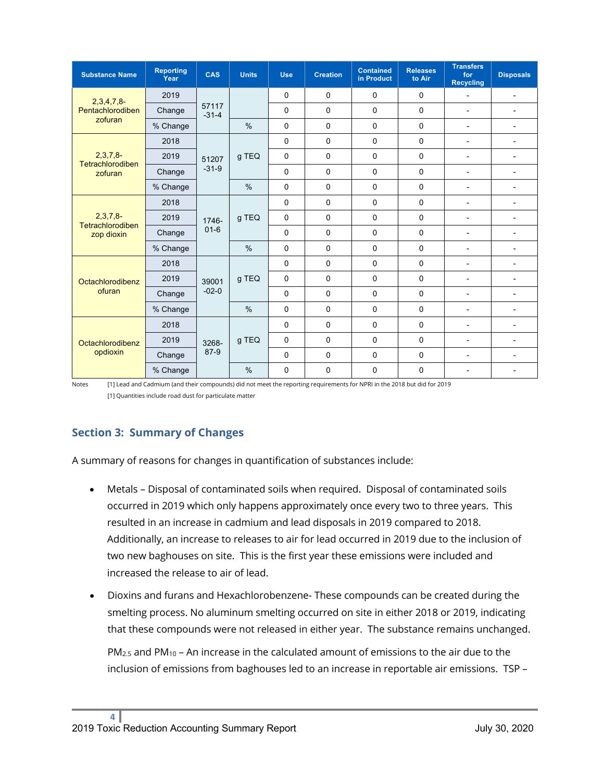| <b>Substance Name</b>          | <b>Reporting</b><br>Year | CAS               | <b>Units</b>  | <b>Use</b>  | <b>Creation</b> | <b>Contained</b><br>in Product | <b>Releases</b><br>to Air | <b>Transfers</b><br>for<br><b>Recycling</b> | <b>Disposals</b>         |
|--------------------------------|--------------------------|-------------------|---------------|-------------|-----------------|--------------------------------|---------------------------|---------------------------------------------|--------------------------|
| 2,3,4,7,8                      | 2019                     |                   |               | $\mathbf 0$ | 0               | $\Omega$                       | 0                         | $\blacksquare$                              | $\overline{\phantom{a}}$ |
| Pentachlorodiben               | Change                   | 57117<br>$-31-4$  |               | $\mathbf 0$ | $\mathbf 0$     | 0                              | 0                         | $\overline{\phantom{a}}$                    | $\overline{\phantom{a}}$ |
| zofuran                        | % Change                 |                   | $\%$          | $\mathbf 0$ | $\Omega$        | $\Omega$                       | 0                         | $\overline{\phantom{0}}$                    | $\overline{\phantom{a}}$ |
|                                | 2018                     |                   |               | $\Omega$    | $\Omega$        | $\Omega$                       | 0                         | $\overline{a}$                              | $\overline{a}$           |
| $2,3,7,8-$<br>Tetrachlorodiben | 2019                     | 51207             | g TEQ         | $\Omega$    | $\Omega$        | $\Omega$                       | 0                         | $\blacksquare$                              | $\blacksquare$           |
| zofuran                        | Change                   | $-31-9$           |               | $\mathbf 0$ | 0               | 0                              | 0                         | $\overline{\phantom{a}}$                    | $\overline{a}$           |
|                                | % Change                 |                   | $\frac{0}{0}$ | 0           | 0               | 0                              | 0                         | $\blacksquare$                              | $\overline{a}$           |
|                                | 2018                     |                   | q TEQ         | $\Omega$    | $\Omega$        | $\Omega$                       | 0                         | $\overline{\phantom{a}}$                    | $\blacksquare$           |
| $2,3,7,8-$<br>Tetrachlorodiben | 2019                     | 1746-<br>$01 - 6$ |               | $\mathbf 0$ | $\Omega$        | $\Omega$                       | 0                         | $\overline{\phantom{a}}$                    | $\blacksquare$           |
| zop dioxin                     | Change                   |                   |               | 0           | 0               | 0                              | 0                         | $\blacksquare$                              | $\blacksquare$           |
|                                | % Change                 |                   | $\frac{0}{0}$ | $\mathbf 0$ | 0               | 0                              | 0                         | $\overline{a}$                              | $\blacksquare$           |
|                                | 2018                     | 39001<br>$-02-0$  | q TEQ         | $\Omega$    | 0               | 0                              | 0                         | $\overline{\phantom{a}}$                    | $\overline{\phantom{a}}$ |
| Octachlorodibenz               | 2019                     |                   |               | $\mathbf 0$ | $\Omega$        | $\Omega$                       | 0                         | $\blacksquare$                              | $\blacksquare$           |
| ofuran                         | Change                   |                   |               | $\mathbf 0$ | $\Omega$        | $\Omega$                       | 0                         | $\overline{\phantom{a}}$                    | $\blacksquare$           |
|                                | % Change                 |                   | $\%$          | $\mathbf 0$ | 0               | 0                              | 0                         | $\blacksquare$                              | $\blacksquare$           |
|                                | 2018                     | 3268-<br>87-9     | g TEQ         | $\Omega$    | $\Omega$        | $\Omega$                       | 0                         | $\overline{\phantom{a}}$                    | $\overline{a}$           |
| Octachlorodibenz<br>opdioxin   | 2019                     |                   |               | 0           | $\Omega$        | $\Omega$                       | 0                         | $\blacksquare$                              | $\blacksquare$           |
|                                | Change                   |                   |               | 0           | 0               | 0                              | 0                         | $\blacksquare$                              | $\blacksquare$           |
|                                | % Change                 |                   | $\frac{0}{0}$ | $\Omega$    | $\Omega$        | $\Omega$                       | 0                         | $\overline{\phantom{a}}$                    | $\overline{\phantom{a}}$ |

Notes [1] Lead and Cadmium (and their compounds) did not meet the reporting requirements for NPRI in the 2018 but did for 2019 [1] Quantities include road dust for particulate matter

## **Section 3: Summary of Changes**

A summary of reasons for changes in quantification of substances include:

- Metals Disposal of contaminated soils when required. Disposal of contaminated soils occurred in 2019 which only happens approximately once every two to three years. This resulted in an increase in cadmium and lead disposals in 2019 compared to 2018. Additionally, an increase to releases to air for lead occurred in 2019 due to the inclusion of two new baghouses on site. This is the first year these emissions were included and increased the release to air of lead.
- Dioxins and furans and Hexachlorobenzene- These compounds can be created during the smelting process. No aluminum smelting occurred on site in either 2018 or 2019, indicating that these compounds were not released in either year. The substance remains unchanged.

 $PM<sub>2.5</sub>$  and PM<sub>10</sub> – An increase in the calculated amount of emissions to the air due to the inclusion of emissions from baghouses led to an increase in reportable air emissions. TSP –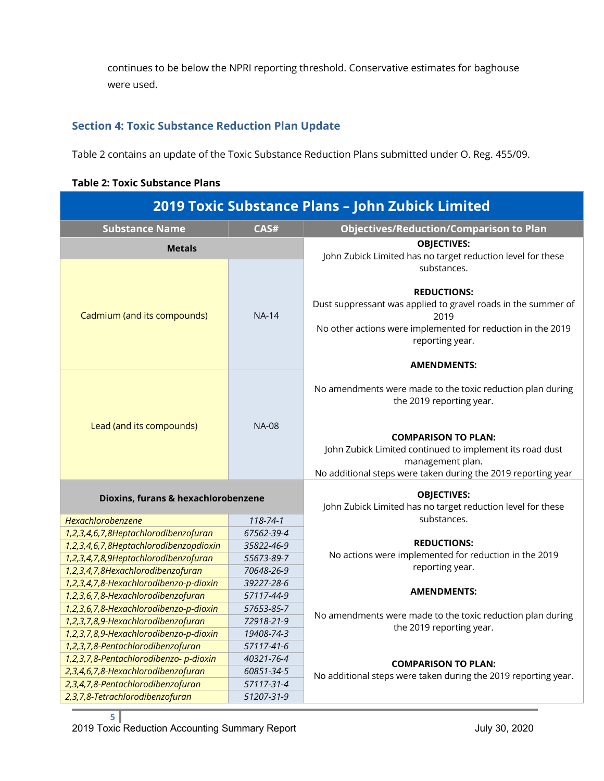continues to be below the NPRI reporting threshold. Conservative estimates for baghouse were used.

### **Section 4: Toxic Substance Reduction Plan Update**

Table 2 contains an update of the Toxic Substance Reduction Plans submitted under O. Reg. 455/09.

**Table 2: Toxic Substance Plans**

| 2019 Toxic Substance Plans - John Zubick Limited |              |                                                                                                                                                                               |  |  |  |  |  |
|--------------------------------------------------|--------------|-------------------------------------------------------------------------------------------------------------------------------------------------------------------------------|--|--|--|--|--|
| CAS#<br><b>Substance Name</b>                    |              | <b>Objectives/Reduction/Comparison to Plan</b>                                                                                                                                |  |  |  |  |  |
| <b>Metals</b>                                    |              | <b>OBJECTIVES:</b><br>John Zubick Limited has no target reduction level for these<br>substances.                                                                              |  |  |  |  |  |
| Cadmium (and its compounds)                      | <b>NA-14</b> | <b>REDUCTIONS:</b><br>Dust suppressant was applied to gravel roads in the summer of<br>2019<br>No other actions were implemented for reduction in the 2019<br>reporting year. |  |  |  |  |  |
|                                                  |              | <b>AMENDMENTS:</b>                                                                                                                                                            |  |  |  |  |  |
| Lead (and its compounds)                         |              | No amendments were made to the toxic reduction plan during<br>the 2019 reporting year.                                                                                        |  |  |  |  |  |
|                                                  | <b>NA-08</b> | <b>COMPARISON TO PLAN:</b><br>John Zubick Limited continued to implement its road dust<br>management plan.<br>No additional steps were taken during the 2019 reporting year   |  |  |  |  |  |
| Dioxins, furans & hexachlorobenzene              |              | <b>OBJECTIVES:</b><br>John Zubick Limited has no target reduction level for these                                                                                             |  |  |  |  |  |
| Hexachlorobenzene                                | 118-74-1     | substances.                                                                                                                                                                   |  |  |  |  |  |
| 1,2,3,4,6,7,8Heptachlorodibenzofuran             | 67562-39-4   |                                                                                                                                                                               |  |  |  |  |  |
| 1,2,3,4,6,7,8Heptachlorodibenzopdioxin           | 35822-46-9   | <b>REDUCTIONS:</b>                                                                                                                                                            |  |  |  |  |  |
| 1,2,3,4,7,8,9Heptachlorodibenzofuran             | 55673-89-7   | No actions were implemented for reduction in the 2019                                                                                                                         |  |  |  |  |  |
| 1,2,3,4,7,8Hexachlorodibenzofuran                | 70648-26-9   | reporting year.                                                                                                                                                               |  |  |  |  |  |
| 1,2,3,4,7,8-Hexachlorodibenzo-p-dioxin           | 39227-28-6   | <b>AMENDMENTS:</b>                                                                                                                                                            |  |  |  |  |  |
| 1,2,3,6,7,8-Hexachlorodibenzofuran               | 57117-44-9   |                                                                                                                                                                               |  |  |  |  |  |
| 1,2,3,6,7,8-Hexachlorodibenzo-p-dioxin           | 57653-85-7   | No amendments were made to the toxic reduction plan during                                                                                                                    |  |  |  |  |  |
| 1,2,3,7,8,9-Hexachlorodibenzofuran               | 72918-21-9   | the 2019 reporting year.                                                                                                                                                      |  |  |  |  |  |
| 1,2,3,7,8,9-Hexachlorodibenzo-p-dioxin           | 19408-74-3   |                                                                                                                                                                               |  |  |  |  |  |
| 1,2,3,7,8-Pentachlorodibenzofuran                | 57117-41-6   |                                                                                                                                                                               |  |  |  |  |  |
| 1,2,3,7,8-Pentachlorodibenzo- p-dioxin           | 40321-76-4   | <b>COMPARISON TO PLAN:</b>                                                                                                                                                    |  |  |  |  |  |
| 2,3,4,6,7,8-Hexachlorodibenzofuran               | 60851-34-5   | No additional steps were taken during the 2019 reporting year.                                                                                                                |  |  |  |  |  |
| 2,3,4,7,8-Pentachlorodibenzofuran                | 57117-31-4   |                                                                                                                                                                               |  |  |  |  |  |
| 2,3,7,8-Tetrachlorodibenzofuran                  | 51207-31-9   |                                                                                                                                                                               |  |  |  |  |  |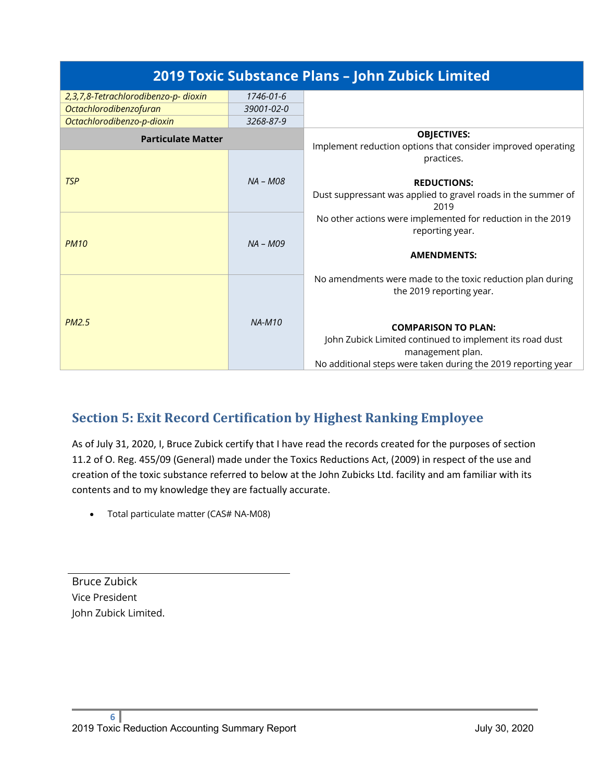|                                      |            | 2019 Toxic Substance Plans - John Zubick Limited                                   |
|--------------------------------------|------------|------------------------------------------------------------------------------------|
| 2,3,7,8-Tetrachlorodibenzo-p- dioxin | 1746-01-6  |                                                                                    |
| <b>Octachlorodibenzofuran</b>        | 39001-02-0 |                                                                                    |
| Octachlorodibenzo-p-dioxin           | 3268-87-9  |                                                                                    |
| <b>Particulate Matter</b>            |            | <b>OBJECTIVES:</b><br>Implement reduction options that consider improved operating |
|                                      |            | practices.                                                                         |
| <b>TSP</b>                           | NA - M08   | <b>REDUCTIONS:</b>                                                                 |
|                                      |            | Dust suppressant was applied to gravel roads in the summer of<br>2019              |
| <b>PM10</b>                          |            | No other actions were implemented for reduction in the 2019                        |
|                                      | $NA - MO9$ | reporting year.                                                                    |
|                                      |            | <b>AMENDMENTS:</b>                                                                 |
|                                      |            | No amendments were made to the toxic reduction plan during                         |
| <b>PM2.5</b><br>$NA-M10$             |            | the 2019 reporting year.                                                           |
|                                      |            |                                                                                    |
|                                      |            | <b>COMPARISON TO PLAN:</b>                                                         |
|                                      |            | John Zubick Limited continued to implement its road dust                           |
|                                      |            | management plan.<br>No additional steps were taken during the 2019 reporting year  |
|                                      |            |                                                                                    |

# **Section 5: Exit Record Certification by Highest Ranking Employee**

As of July 31, 2020, I, Bruce Zubick certify that I have read the records created for the purposes of section 11.2 of O. Reg. 455/09 (General) made under the Toxics Reductions Act, (2009) in respect of the use and creation of the toxic substance referred to below at the John Zubicks Ltd. facility and am familiar with its contents and to my knowledge they are factually accurate.

• Total particulate matter (CAS# NA-M08)

Bruce Zubick Vice President John Zubick Limited.